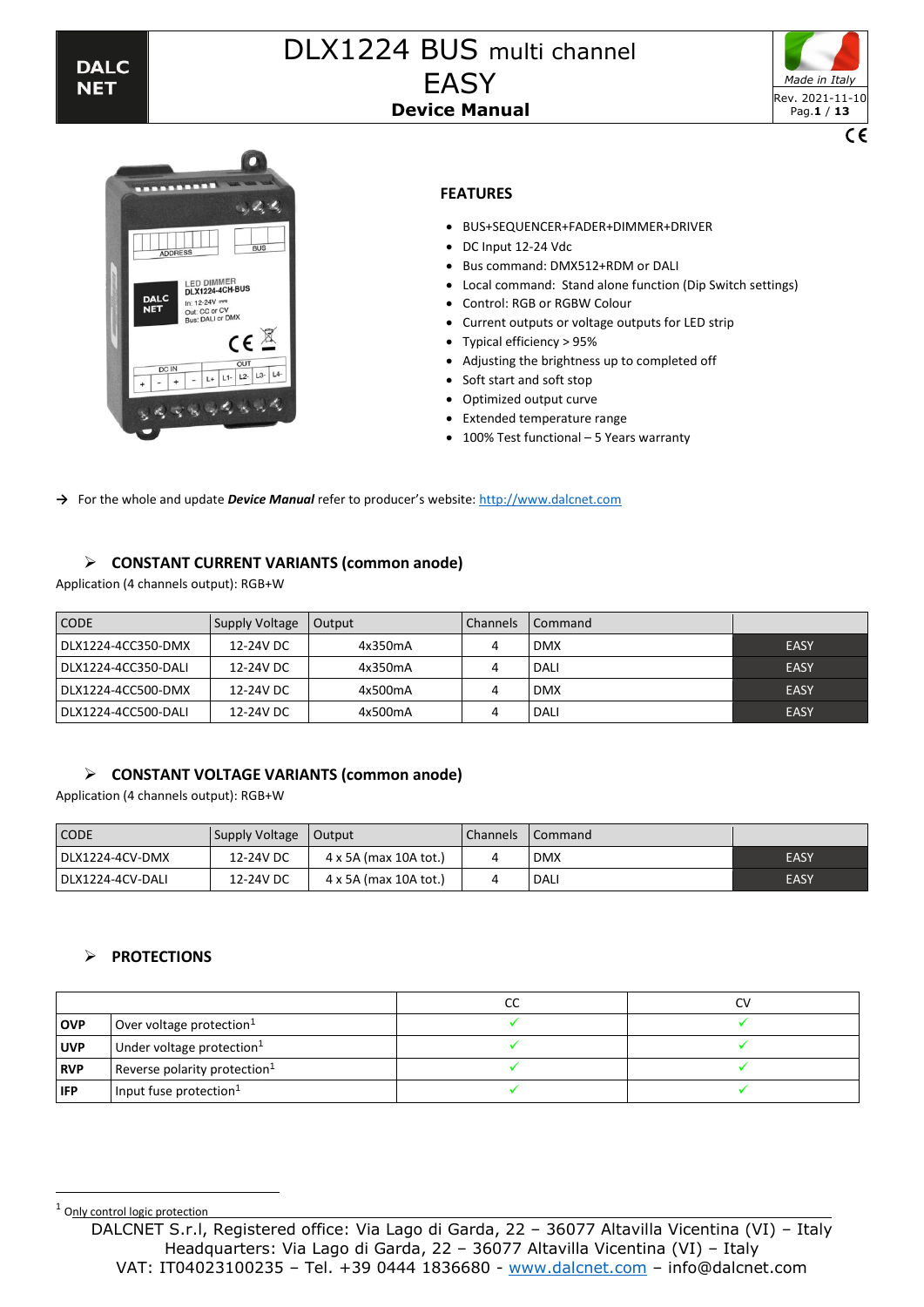



# **FEATURES**

- BUS+SEQUENCER+FADER+DIMMER+DRIVER
- DC Input 12-24 Vdc
- Bus command: DMX512+RDM or DALI
- Local command: Stand alone function (Dip Switch settings)
- Control: RGB or RGBW Colour
- Current outputs or voltage outputs for LED strip
- Typical efficiency > 95%
- Adjusting the brightness up to completed off
- Soft start and soft stop
- Optimized output curve
- Extended temperature range
- 100% Test functional 5 Years warranty

→ For the whole and update *Device Manual* refer to producer's website: [http://www.dalcnet.com](http://www.dalcnet.com/)

### ➢ **CONSTANT CURRENT VARIANTS (common anode)**

Application (4 channels output): RGB+W

| <b>CODE</b>         | Supply Voltage | Output  | <b>Channels</b> | I Command  |             |
|---------------------|----------------|---------|-----------------|------------|-------------|
| DLX1224-4CC350-DMX  | 12-24V DC      | 4x350mA |                 | <b>DMX</b> | EASY        |
| DLX1224-4CC350-DALI | 12-24V DC      | 4x350mA |                 | DALI       | <b>EASY</b> |
| DLX1224-4CC500-DMX  | 12-24V DC      | 4x500mA |                 | <b>DMX</b> | <b>EASY</b> |
| DLX1224-4CC500-DALI | 12-24V DC      | 4x500mA |                 | DALI       | <b>EASY</b> |

### ➢ **CONSTANT VOLTAGE VARIANTS (common anode)**

Application (4 channels output): RGB+W

| <b>CODE</b>      | Supply Voltage | Output                | <b>Channels</b> | l Command   |             |
|------------------|----------------|-----------------------|-----------------|-------------|-------------|
| DLX1224-4CV-DMX  | 12-24V DC      | 4 x 5A (max 10A tot.) |                 | <b>DMX</b>  | <b>EASY</b> |
| DLX1224-4CV-DALI | 12-24V DC      | 4 x 5A (max 10A tot.) |                 | <b>DALI</b> | EASY        |

### ➢ **PROTECTIONS**

|            |                                 | CC |  |
|------------|---------------------------------|----|--|
| <b>OVP</b> | Over voltage protection $1$     |    |  |
| <b>UVP</b> | Under voltage protection $1$    |    |  |
| <b>RVP</b> | Reverse polarity protection $1$ |    |  |
| <b>IFP</b> | Input fuse protection $1$       |    |  |

<sup>1</sup> Only control logic protection

DALCNET S.r.l, Registered office: Via Lago di Garda, 22 – 36077 Altavilla Vicentina (VI) – Italy Headquarters: Via Lago di Garda, 22 – 36077 Altavilla Vicentina (VI) – Italy VAT: IT04023100235 – Tel. +39 0444 1836680 - [www.dalcnet.com](http://www.dalcnet.com/) – info@dalcnet.com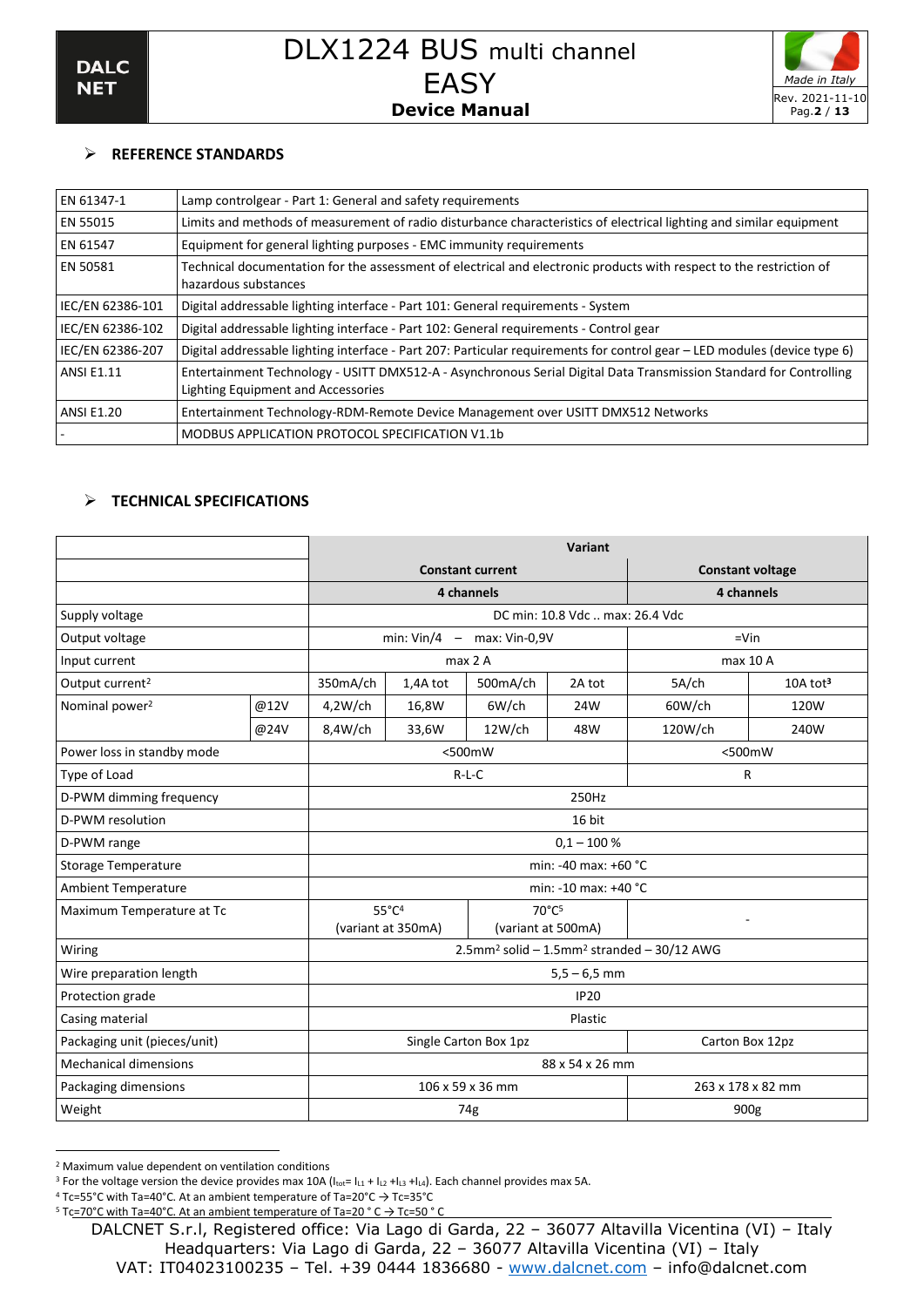

# ➢ **REFERENCE STANDARDS**

| EN 61347-1        | Lamp controlgear - Part 1: General and safety requirements                                                                                               |
|-------------------|----------------------------------------------------------------------------------------------------------------------------------------------------------|
| EN 55015          | Limits and methods of measurement of radio disturbance characteristics of electrical lighting and similar equipment                                      |
| EN 61547          | Equipment for general lighting purposes - EMC immunity requirements                                                                                      |
| EN 50581          | Technical documentation for the assessment of electrical and electronic products with respect to the restriction of<br>hazardous substances              |
| IEC/EN 62386-101  | Digital addressable lighting interface - Part 101: General requirements - System                                                                         |
| IEC/EN 62386-102  | Digital addressable lighting interface - Part 102: General requirements - Control gear                                                                   |
| IEC/EN 62386-207  | Digital addressable lighting interface - Part 207: Particular requirements for control gear - LED modules (device type 6)                                |
| <b>ANSI E1.11</b> | Entertainment Technology - USITT DMX512-A - Asynchronous Serial Digital Data Transmission Standard for Controlling<br>Lighting Equipment and Accessories |
| <b>ANSI E1.20</b> | Entertainment Technology-RDM-Remote Device Management over USITT DMX512 Networks                                                                         |
|                   | MODBUS APPLICATION PROTOCOL SPECIFICATION V1.1b                                                                                                          |

# ➢ **TECHNICAL SPECIFICATIONS**

|                              |                                          | Variant                                                            |                    |                                |                                 |            |                      |  |  |
|------------------------------|------------------------------------------|--------------------------------------------------------------------|--------------------|--------------------------------|---------------------------------|------------|----------------------|--|--|
|                              |                                          |                                                                    |                    | <b>Constant current</b>        | <b>Constant voltage</b>         |            |                      |  |  |
|                              |                                          |                                                                    |                    | 4 channels                     |                                 | 4 channels |                      |  |  |
| Supply voltage               |                                          |                                                                    |                    |                                | DC min: 10.8 Vdc  max: 26.4 Vdc |            |                      |  |  |
| Output voltage               |                                          |                                                                    |                    | min: $Vin/4$ - max: $Vin-0.9V$ |                                 | $=$ Vin    |                      |  |  |
| Input current                |                                          |                                                                    |                    | max <sub>2</sub> A             |                                 | max 10 A   |                      |  |  |
| Output current <sup>2</sup>  |                                          | 350mA/ch                                                           | 1,4A tot           | 500mA/ch                       | 2A tot                          | 5A/ch      | 10A tot <sup>3</sup> |  |  |
| Nominal power <sup>2</sup>   | @12V                                     | 4,2W/ch                                                            | 16,8W              | 6W/ch                          | 24W                             | 60W/ch     | 120W                 |  |  |
|                              | @24V                                     | 8,4W/ch                                                            | 33,6W              | 12W/ch                         | 48W                             | 120W/ch    | 240W                 |  |  |
| Power loss in standby mode   |                                          |                                                                    |                    | <500mW                         |                                 | <500mW     |                      |  |  |
| Type of Load                 |                                          |                                                                    |                    | $R-L-C$                        |                                 | R          |                      |  |  |
| D-PWM dimming frequency      |                                          | 250Hz                                                              |                    |                                |                                 |            |                      |  |  |
| D-PWM resolution             |                                          | 16 bit                                                             |                    |                                |                                 |            |                      |  |  |
| D-PWM range                  |                                          | $0,1 - 100 %$                                                      |                    |                                |                                 |            |                      |  |  |
| <b>Storage Temperature</b>   |                                          | min: -40 max: +60 °C                                               |                    |                                |                                 |            |                      |  |  |
| <b>Ambient Temperature</b>   |                                          | min: -10 max: +40 °C                                               |                    |                                |                                 |            |                      |  |  |
| Maximum Temperature at Tc    |                                          |                                                                    | $55^{\circ}C^4$    | $70^{\circ}$ C <sub>5</sub>    |                                 | ٠          |                      |  |  |
|                              |                                          |                                                                    | (variant at 350mA) | (variant at 500mA)             |                                 |            |                      |  |  |
| Wiring                       |                                          | 2.5mm <sup>2</sup> solid - 1.5mm <sup>2</sup> stranded - 30/12 AWG |                    |                                |                                 |            |                      |  |  |
| Wire preparation length      |                                          | $5,5 - 6,5$ mm                                                     |                    |                                |                                 |            |                      |  |  |
| Protection grade             |                                          | <b>IP20</b>                                                        |                    |                                |                                 |            |                      |  |  |
| Casing material              | Plastic                                  |                                                                    |                    |                                |                                 |            |                      |  |  |
| Packaging unit (pieces/unit) | Carton Box 12pz<br>Single Carton Box 1pz |                                                                    |                    |                                |                                 |            |                      |  |  |
| <b>Mechanical dimensions</b> |                                          | 88 x 54 x 26 mm                                                    |                    |                                |                                 |            |                      |  |  |
| Packaging dimensions         |                                          |                                                                    |                    | 106 x 59 x 36 mm               | 263 x 178 x 82 mm               |            |                      |  |  |
| Weight                       |                                          |                                                                    |                    | 74g                            |                                 | 900g       |                      |  |  |

<sup>2</sup> Maximum value dependent on ventilation conditions

<sup>&</sup>lt;sup>3</sup> For the voltage version the device provides max 10A ( $I_{tot}$ =  $I_{L1}$  +  $I_{L2}$  + $I_{L3}$  + $I_{L4}$ ). Each channel provides max 5A.

<sup>&</sup>lt;sup>4</sup> Tc=55°C with Ta=40°C. At an ambient temperature of Ta=20°C  $\rightarrow$  Tc=35°C

 $5$  Tc=70°C with Ta=40°C. At an ambient temperature of Ta=20 ° C  $\rightarrow$  Tc=50 ° C

DALCNET S.r.l, Registered office: Via Lago di Garda, 22 – 36077 Altavilla Vicentina (VI) – Italy Headquarters: Via Lago di Garda, 22 – 36077 Altavilla Vicentina (VI) – Italy VAT: IT04023100235 – Tel. +39 0444 1836680 - [www.dalcnet.com](http://www.dalcnet.com/) – info@dalcnet.com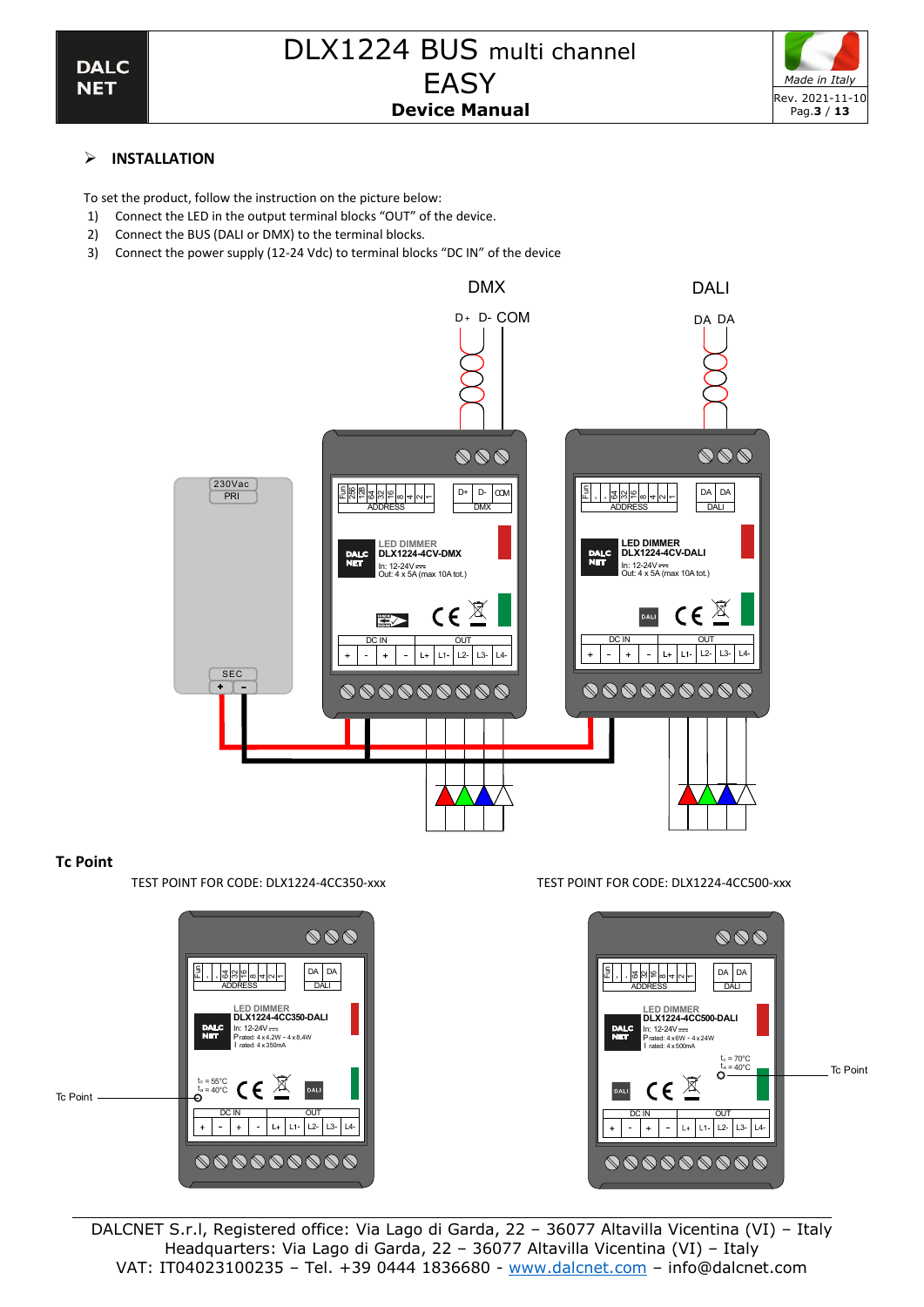

To set the product, follow the instruction on the picture below:

- 1) Connect the LED in the output terminal blocks "OUT" of the device.
- 2) Connect the BUS (DALI or DMX) to the terminal blocks.
- 3) Connect the power supply (12-24 Vdc) to terminal blocks "DC IN" of the device



# **Tc Point**

TEST POINT FOR CODE: DLX1224-4CC350-xxx TEST POINT FOR CODE: DLX1224-4CC500-xxx



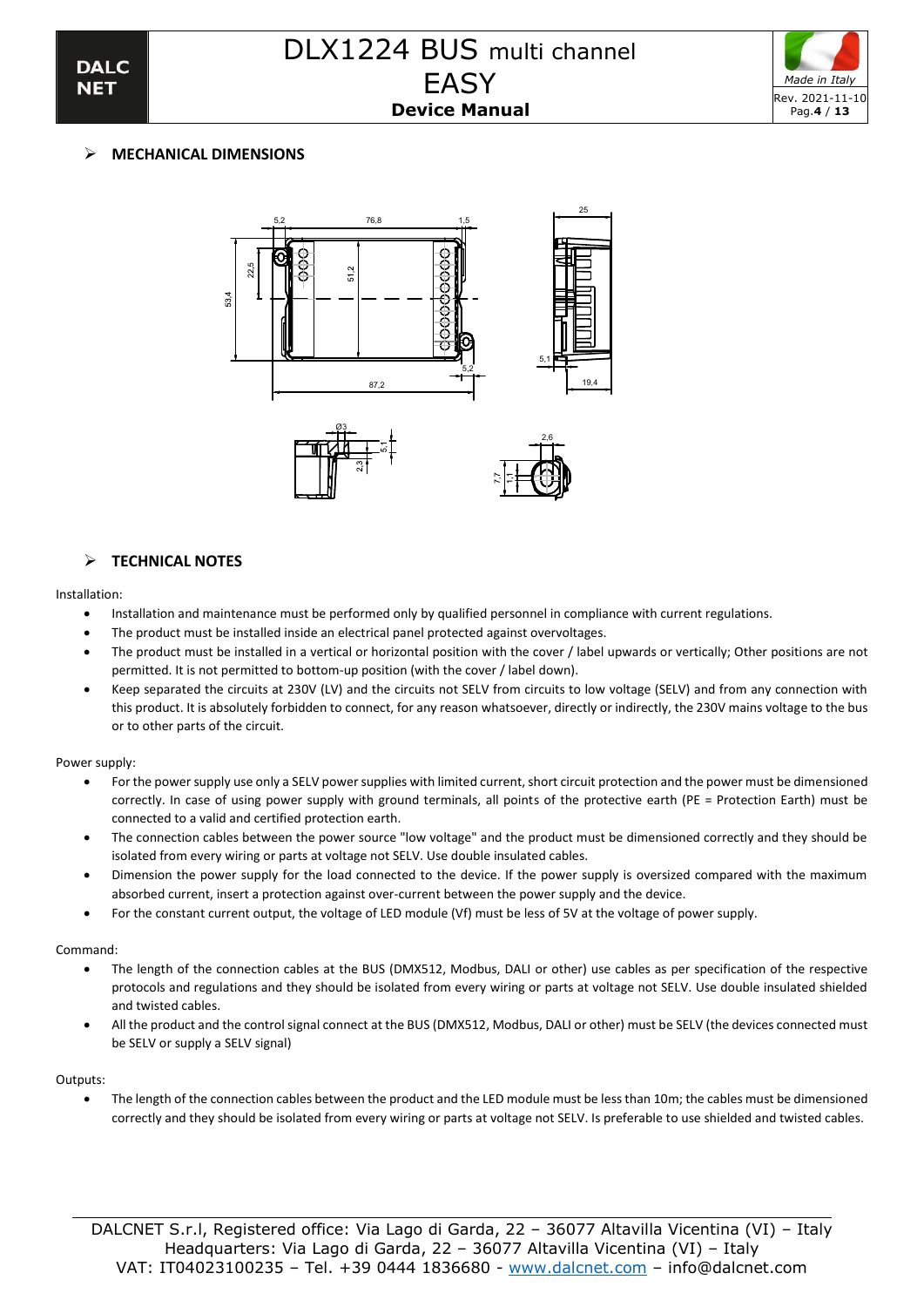



# ➢ **MECHANICAL DIMENSIONS**





## ➢ **TECHNICAL NOTES**

#### Installation:

- Installation and maintenance must be performed only by qualified personnel in compliance with current regulations.
- The product must be installed inside an electrical panel protected against overvoltages.
- The product must be installed in a vertical or horizontal position with the cover / label upwards or vertically; Other positions are not permitted. It is not permitted to bottom-up position (with the cover / label down).
- Keep separated the circuits at 230V (LV) and the circuits not SELV from circuits to low voltage (SELV) and from any connection with this product. It is absolutely forbidden to connect, for any reason whatsoever, directly or indirectly, the 230V mains voltage to the bus or to other parts of the circuit.

#### Power supply:

- For the power supply use only a SELV power supplies with limited current, short circuit protection and the power must be dimensioned correctly. In case of using power supply with ground terminals, all points of the protective earth (PE = Protection Earth) must be connected to a valid and certified protection earth.
- The connection cables between the power source "low voltage" and the product must be dimensioned correctly and they should be isolated from every wiring or parts at voltage not SELV. Use double insulated cables.
- Dimension the power supply for the load connected to the device. If the power supply is oversized compared with the maximum absorbed current, insert a protection against over-current between the power supply and the device.
- For the constant current output, the voltage of LED module (Vf) must be less of 5V at the voltage of power supply.

### Command:

- The length of the connection cables at the BUS (DMX512, Modbus, DALI or other) use cables as per specification of the respective protocols and regulations and they should be isolated from every wiring or parts at voltage not SELV. Use double insulated shielded and twisted cables.
- All the product and the control signal connect at the BUS (DMX512, Modbus, DALI or other) must be SELV (the devices connected must be SELV or supply a SELV signal)

### Outputs:

• The length of the connection cables between the product and the LED module must be less than 10m; the cables must be dimensioned correctly and they should be isolated from every wiring or parts at voltage not SELV. Is preferable to use shielded and twisted cables.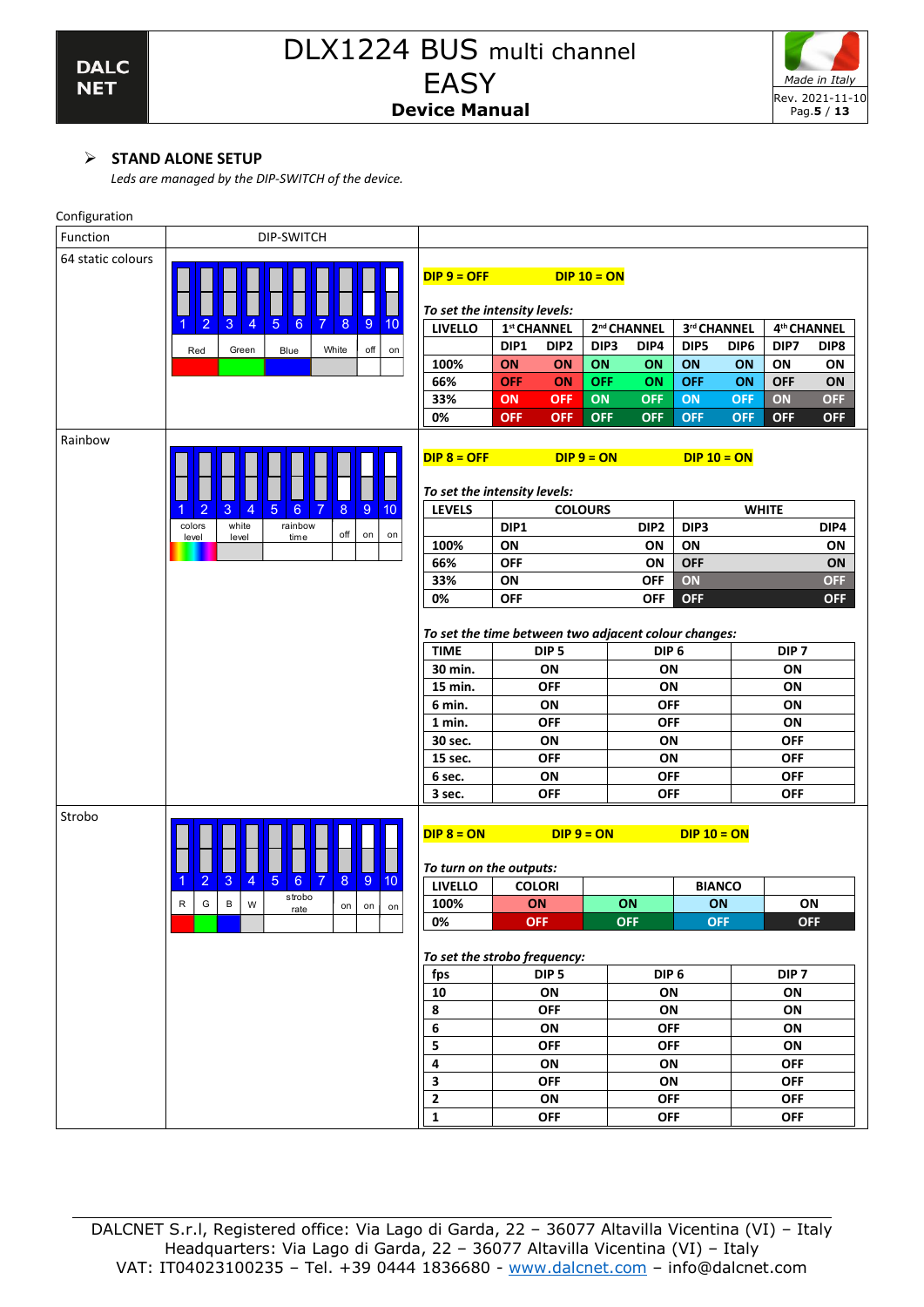

# ➢ **STAND ALONE SETUP**

*Leds are managed by the DIP-SWITCH of the device.*

| Configuration     |                                                                                                                                             |                                                      |                  |                  |                  |                          |               |                  |                          |            |
|-------------------|---------------------------------------------------------------------------------------------------------------------------------------------|------------------------------------------------------|------------------|------------------|------------------|--------------------------|---------------|------------------|--------------------------|------------|
| Function          | DIP-SWITCH                                                                                                                                  |                                                      |                  |                  |                  |                          |               |                  |                          |            |
| 64 static colours |                                                                                                                                             | $DIP 9 = OFF$                                        |                  |                  | $DIP 10 = ON$    |                          |               |                  |                          |            |
|                   |                                                                                                                                             | To set the intensity levels:                         |                  |                  |                  |                          |               |                  |                          |            |
|                   | $\overline{9}$<br>$\overline{5}$<br>2<br>3<br>$6\phantom{1}6$<br>7<br>8<br>4<br>10                                                          | <b>LIVELLO</b>                                       | 1st CHANNEL      |                  |                  | 2 <sup>nd</sup> CHANNEL  | 3rd CHANNEL   |                  | 4 <sup>th</sup> CHANNEL  |            |
|                   | off<br>Red<br>Green<br>Blue<br>White<br>on                                                                                                  |                                                      | DIP1             | DIP <sub>2</sub> | DIP <sub>3</sub> | DIP4                     | DIP5          | DIP <sub>6</sub> | DIP7                     | DIP8       |
|                   |                                                                                                                                             | 100%                                                 | ON               | <b>ON</b>        | ON               | ON                       | ON            | ON               | ON                       | ON         |
|                   |                                                                                                                                             | 66%                                                  | <b>OFF</b>       | ON               | <b>OFF</b>       | ON                       | <b>OFF</b>    | ON               | <b>OFF</b>               | ON         |
|                   |                                                                                                                                             | 33%                                                  | ON               | <b>OFF</b>       | ON               | <b>OFF</b>               | ON            | <b>OFF</b>       | ON                       | <b>OFF</b> |
|                   |                                                                                                                                             | 0%                                                   | <b>OFF</b>       | <b>OFF</b>       | <b>OFF</b>       | <b>OFF</b>               | <b>OFF</b>    | <b>OFF</b>       | <b>OFF</b>               | <b>OFF</b> |
| Rainbow           |                                                                                                                                             | $DIP 8 = OFF$<br>To set the intensity levels:        |                  |                  | $DIP 9 = ON$     |                          | $DIP 10 = ON$ |                  |                          |            |
|                   | $\overline{2}$<br>5<br>$\bf 8$<br>$\overline{9}$<br>3<br>$6\phantom{1}$<br>$\overline{7}$<br>10<br>$\overline{4}$                           | <b>LEVELS</b>                                        |                  |                  | <b>COLOURS</b>   |                          |               |                  | <b>WHITE</b>             |            |
|                   | rainbow<br>white<br>colors                                                                                                                  |                                                      | DIP1             |                  |                  | DIP <sub>2</sub>         | DIP3          |                  |                          | DIP4       |
|                   | off<br>on<br>on<br>level<br>time<br>level                                                                                                   | 100%                                                 | ON               |                  |                  | ON                       | ON            |                  |                          | ON         |
|                   |                                                                                                                                             | 66%                                                  | <b>OFF</b>       |                  |                  | ON                       | <b>OFF</b>    |                  |                          | ON         |
|                   |                                                                                                                                             | 33%                                                  | ON               |                  |                  | <b>OFF</b>               | ON            |                  |                          | <b>OFF</b> |
|                   |                                                                                                                                             | 0%                                                   | <b>OFF</b>       |                  |                  | <b>OFF</b>               | <b>OFF</b>    |                  |                          | <b>OFF</b> |
|                   |                                                                                                                                             | To set the time between two adjacent colour changes: |                  |                  |                  |                          |               |                  |                          |            |
|                   |                                                                                                                                             | <b>TIME</b>                                          | DIP <sub>5</sub> |                  |                  | DIP <sub>6</sub>         |               |                  | DIP <sub>7</sub>         |            |
|                   |                                                                                                                                             | 30 min.                                              | ON               |                  |                  | ON                       |               |                  | ON                       |            |
|                   |                                                                                                                                             | <b>OFF</b><br>15 min.                                |                  |                  | ON               |                          |               | ON               |                          |            |
|                   |                                                                                                                                             | 6 min.                                               | ON               |                  |                  | <b>OFF</b>               |               |                  | ON                       |            |
|                   |                                                                                                                                             | 1 min.                                               |                  | <b>OFF</b>       |                  | <b>OFF</b>               |               |                  | ON                       |            |
|                   |                                                                                                                                             | 30 sec.                                              |                  | ON               |                  | ON                       |               |                  | <b>OFF</b>               |            |
|                   |                                                                                                                                             | 15 sec.                                              |                  | <b>OFF</b>       |                  | ON                       |               |                  | <b>OFF</b>               |            |
|                   |                                                                                                                                             | 6 sec.                                               |                  | ON<br><b>OFF</b> |                  | <b>OFF</b><br><b>OFF</b> |               |                  | <b>OFF</b><br><b>OFF</b> |            |
| Strobo            |                                                                                                                                             | 3 sec.<br>$DIP 8 = ON$                               |                  | $DIP 9 = ON$     |                  |                          | $DIP 10 = ON$ |                  |                          |            |
|                   |                                                                                                                                             | To turn on the outputs:                              |                  |                  |                  |                          |               |                  |                          |            |
|                   | $\overline{5}$<br>$\boldsymbol{8}$<br>$\overline{2}$<br>$\overline{4}$<br>$6\phantom{1}$<br>$\boldsymbol{9}$<br>3<br>7<br>10<br>1<br>strobo | <b>LIVELLO</b>                                       |                  | <b>COLORI</b>    |                  |                          | <b>BIANCO</b> |                  |                          |            |
|                   | $\mathsf{R}$<br>G<br>$\, {\bf B} \,$<br>W<br>on<br>on<br>on<br>rate                                                                         | 100%                                                 |                  | <b>ON</b>        |                  | ON                       | ON            |                  | ON                       |            |
|                   |                                                                                                                                             | 0%                                                   |                  | <b>OFF</b>       |                  | <b>OFF</b>               | <b>OFF</b>    |                  | <b>OFF</b>               |            |
|                   |                                                                                                                                             |                                                      |                  |                  |                  |                          |               |                  |                          |            |
|                   |                                                                                                                                             | To set the strobo frequency:                         |                  | DIP <sub>5</sub> |                  | DIP <sub>6</sub>         |               |                  | DIP <sub>7</sub>         |            |
|                   |                                                                                                                                             | fps<br>10                                            |                  | ON               |                  | ON                       |               |                  | ON                       |            |
|                   |                                                                                                                                             | 8                                                    |                  | <b>OFF</b>       |                  | ON                       |               |                  | ON                       |            |
|                   |                                                                                                                                             | 6                                                    |                  | ON               |                  | <b>OFF</b>               |               |                  | ON                       |            |
|                   |                                                                                                                                             | 5                                                    |                  | <b>OFF</b>       |                  | <b>OFF</b>               |               |                  | ON                       |            |
|                   |                                                                                                                                             | 4                                                    |                  | ON               |                  | ON                       |               |                  | <b>OFF</b>               |            |
|                   |                                                                                                                                             | 3                                                    |                  | <b>OFF</b>       |                  | ON                       |               |                  | <b>OFF</b>               |            |
|                   |                                                                                                                                             | $\mathbf 2$                                          |                  | ON               |                  | <b>OFF</b>               |               |                  | <b>OFF</b>               |            |
|                   |                                                                                                                                             | $\mathbf 1$                                          |                  | <b>OFF</b>       |                  | <b>OFF</b>               |               |                  | <b>OFF</b>               |            |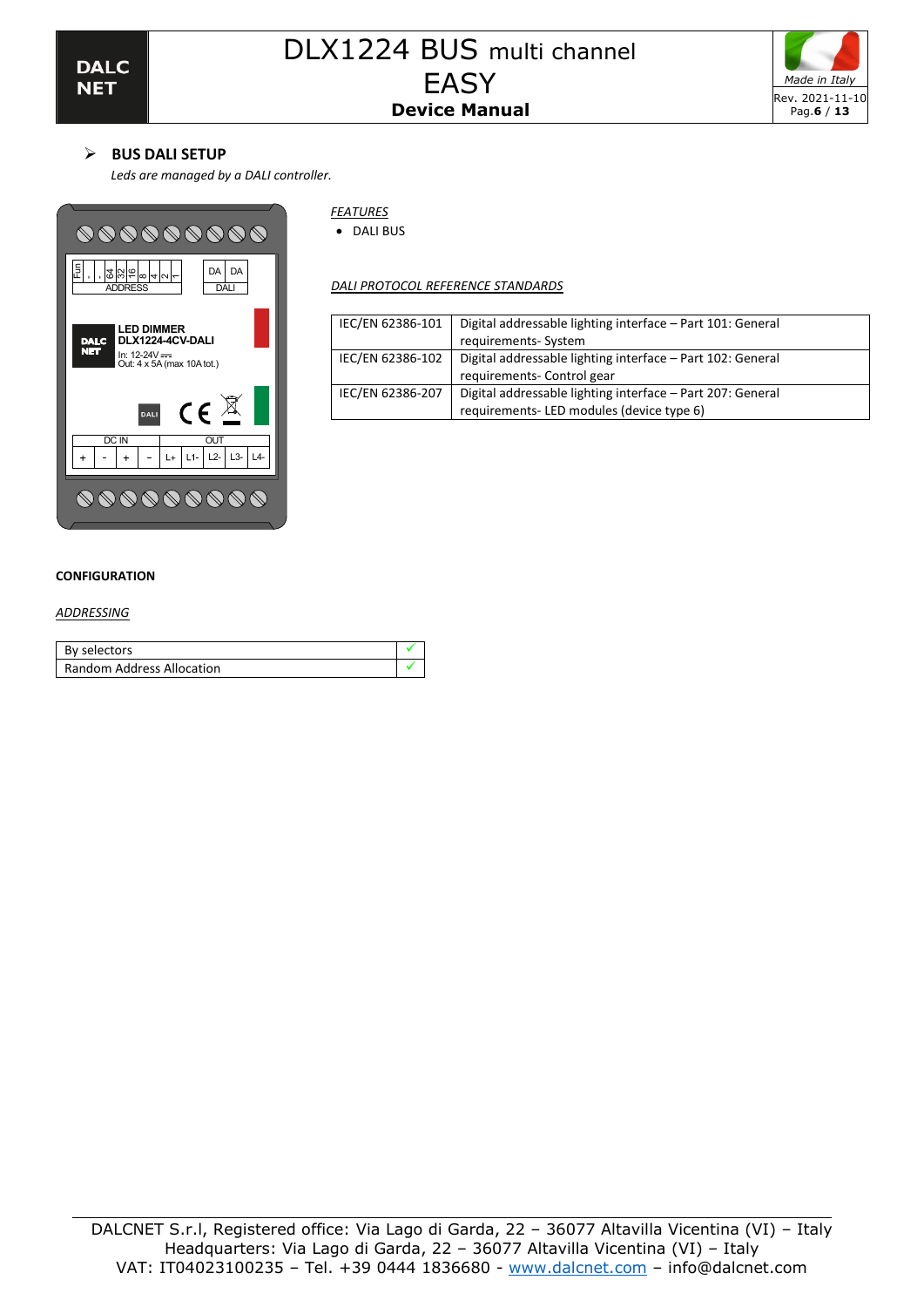

# ➢ **BUS DALI SETUP**

*Leds are managed by a DALI controller.* 



### *FEATURES*

• DALI BUS

*DALI PROTOCOL REFERENCE STANDARDS*

| IEC/EN 62386-101 | Digital addressable lighting interface - Part 101: General |
|------------------|------------------------------------------------------------|
|                  | requirements-System                                        |
| IEC/EN 62386-102 | Digital addressable lighting interface - Part 102: General |
|                  | requirements- Control gear                                 |
| IEC/EN 62386-207 | Digital addressable lighting interface - Part 207: General |
|                  | requirements-LED modules (device type 6)                   |

### **CONFIGURATION**

*ADDRESSING*

| By selectors              |  |
|---------------------------|--|
| Random Address Allocation |  |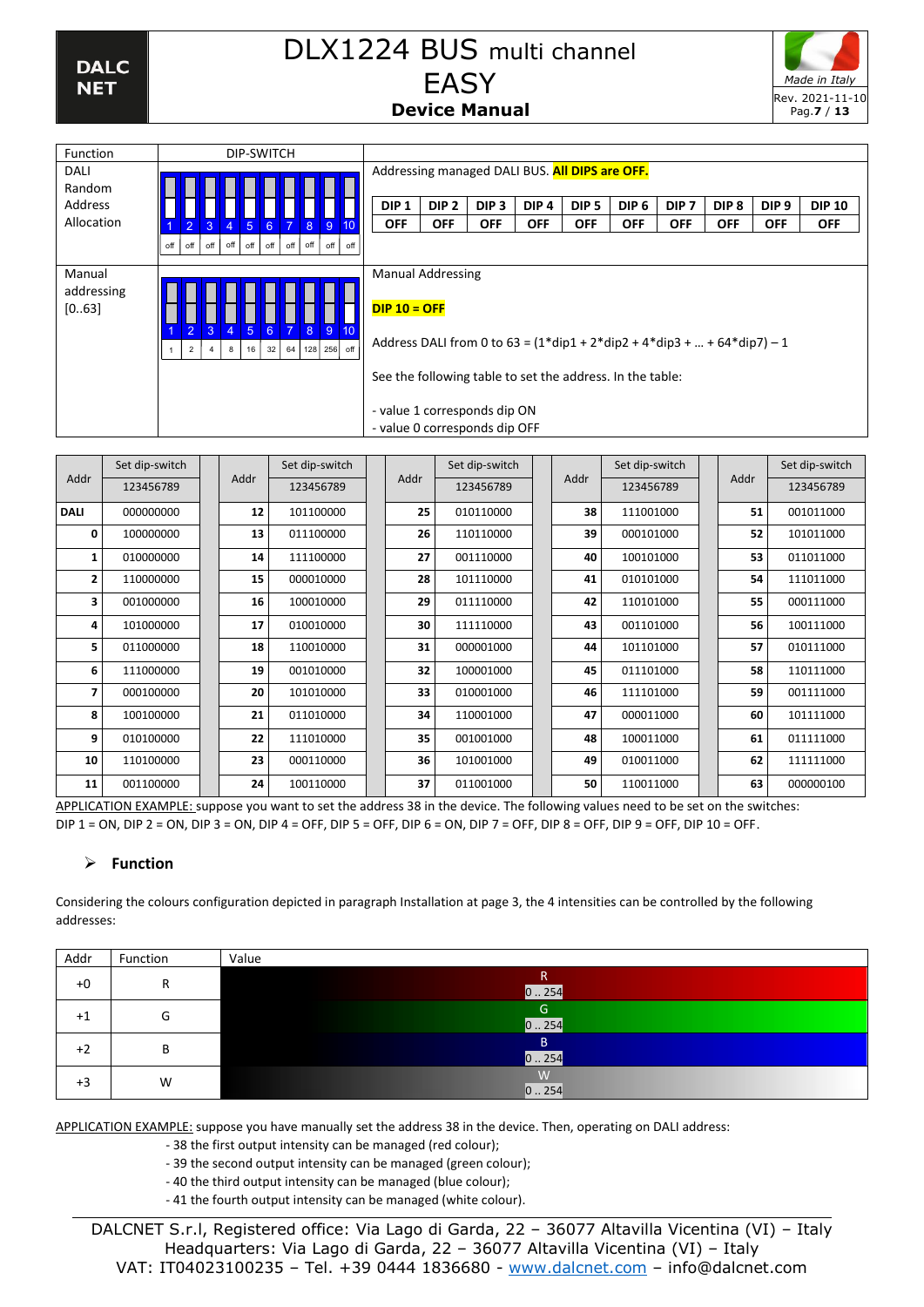

| <b>Function</b><br>DIP-SWITCH                                                                                                                                                                                                                                        |               |
|----------------------------------------------------------------------------------------------------------------------------------------------------------------------------------------------------------------------------------------------------------------------|---------------|
| Addressing managed DALI BUS. All DIPS are OFF.<br>DALI                                                                                                                                                                                                               |               |
| Random                                                                                                                                                                                                                                                               |               |
| Address<br>DIP <sub>1</sub><br>DIP <sub>2</sub><br>DIP <sub>5</sub><br>DIP <sub>6</sub><br>DIP <sub>7</sub><br>DIP <sub>3</sub><br>DIP <sub>4</sub><br>DIP <sub>8</sub><br>DIP <sub>9</sub>                                                                          | <b>DIP 10</b> |
| Allocation<br><b>OFF</b><br><b>OFF</b><br><b>OFF</b><br><b>OFF</b><br><b>OFF</b><br><b>OFF</b><br><b>OFF</b><br><b>OFF</b><br><b>OFF</b><br>$\mathbf{3}$<br>$\overline{4}$<br>$5\overline{5}$<br>6<br>$\overline{2}$<br>-9<br>$\overline{7}$<br>8 <sup>°</sup><br>10 | <b>OFF</b>    |
| off<br>off<br>off<br>off<br>off<br>off<br>off<br>off<br>off<br>off                                                                                                                                                                                                   |               |
| <b>Manual Addressing</b><br>Manual                                                                                                                                                                                                                                   |               |
| addressing<br>$DIP 10 = OFF$<br>[063]<br>$\overline{3}$<br>6<br>$\overline{2}$<br>$\overline{4}$<br>$\overline{7}$<br>-9<br>10<br>-5<br>8 <sup>°</sup><br>Address DALI from 0 to $63 = (1 * disp1 + 2 * dip2 + 4 * dip3 +  + 64 * dip7) - 1$                         |               |
| 64 128 256 off<br>32<br>2<br>16<br>8                                                                                                                                                                                                                                 |               |
| See the following table to set the address. In the table:                                                                                                                                                                                                            |               |
| - value 1 corresponds dip ON                                                                                                                                                                                                                                         |               |
| - value 0 corresponds dip OFF                                                                                                                                                                                                                                        |               |

| Allocation                    |                 | $\blacktriangleleft$             |                     |                                            |               |             | 2 3 4 5 6 7 8 9 10                            |     |  | <b>OFF</b> |    | <b>OFF</b><br><b>OFF</b>                                                                                                                                                                                                                                                                                                                                                                                                                                                                                                                                                     |  | <b>OFF</b>   | <b>OFF</b> | <b>OFF</b>     | OFF | <b>OFF</b> | <b>OFF</b> | <b>OFF</b>     |
|-------------------------------|-----------------|----------------------------------|---------------------|--------------------------------------------|---------------|-------------|-----------------------------------------------|-----|--|------------|----|------------------------------------------------------------------------------------------------------------------------------------------------------------------------------------------------------------------------------------------------------------------------------------------------------------------------------------------------------------------------------------------------------------------------------------------------------------------------------------------------------------------------------------------------------------------------------|--|--------------|------------|----------------|-----|------------|------------|----------------|
|                               |                 | off<br>off                       | off                 |                                            | $off$ off off |             | $off$ off off                                 | off |  |            |    |                                                                                                                                                                                                                                                                                                                                                                                                                                                                                                                                                                              |  |              |            |                |     |            |            |                |
| Manual<br>addressing<br>[063] |                 |                                  |                     | <b>Manual Addressing</b><br>$DIP 10 = OFF$ |               |             |                                               |     |  |            |    |                                                                                                                                                                                                                                                                                                                                                                                                                                                                                                                                                                              |  |              |            |                |     |            |            |                |
|                               |                 | $\overline{2}$<br>$\overline{2}$ | 3<br>$\overline{4}$ | $\overline{4}$<br>$\bf{8}$                 | 5<br>16       | $6^{\circ}$ | $\overline{7}$<br>9<br>8<br>32 64 128 256 off | 10  |  |            |    | Address DALI from 0 to 63 = $(1 * dip1 + 2 * dip2 + 4 * dip3 +  + 64 * dip7) - 1$                                                                                                                                                                                                                                                                                                                                                                                                                                                                                            |  |              |            |                |     |            |            |                |
|                               |                 |                                  |                     |                                            |               |             |                                               |     |  |            |    | See the following table to set the address. In the table:                                                                                                                                                                                                                                                                                                                                                                                                                                                                                                                    |  |              |            |                |     |            |            |                |
|                               |                 |                                  |                     |                                            |               |             |                                               |     |  |            |    |                                                                                                                                                                                                                                                                                                                                                                                                                                                                                                                                                                              |  |              |            |                |     |            |            |                |
|                               |                 |                                  |                     |                                            |               |             |                                               |     |  |            |    | - value 1 corresponds dip ON<br>- value 0 corresponds dip OFF                                                                                                                                                                                                                                                                                                                                                                                                                                                                                                                |  |              |            |                |     |            |            |                |
|                               | Set dip-switch  |                                  |                     |                                            |               |             | Set dip-switch                                |     |  |            |    | Set dip-switch                                                                                                                                                                                                                                                                                                                                                                                                                                                                                                                                                               |  |              |            | Set dip-switch |     |            |            | Set dip-switch |
| Addr                          | 123456789       |                                  |                     |                                            | Addr          |             | 123456789                                     |     |  | Addr       |    | 123456789                                                                                                                                                                                                                                                                                                                                                                                                                                                                                                                                                                    |  |              | Addr       | 123456789      |     | Addr       |            | 123456789      |
| <b>DALI</b>                   | 000000000       |                                  |                     |                                            | 12            |             | 101100000                                     |     |  |            | 25 | 010110000                                                                                                                                                                                                                                                                                                                                                                                                                                                                                                                                                                    |  |              | 38         | 111001000      |     | 51         |            | 001011000      |
| 0                             | 100000000       |                                  |                     |                                            | 13            |             | 011100000                                     |     |  |            | 26 | 110110000                                                                                                                                                                                                                                                                                                                                                                                                                                                                                                                                                                    |  |              | 39         | 000101000      |     | 52         |            | 101011000      |
| 1                             | 010000000       |                                  |                     |                                            | 14            |             | 111100000                                     |     |  |            | 27 | 001110000                                                                                                                                                                                                                                                                                                                                                                                                                                                                                                                                                                    |  |              | 40         | 100101000      |     | 53         |            | 011011000      |
| 2                             | 110000000       |                                  |                     |                                            | 15            |             | 000010000                                     |     |  |            | 28 | 101110000                                                                                                                                                                                                                                                                                                                                                                                                                                                                                                                                                                    |  |              | 41         | 010101000      |     | 54         |            | 111011000      |
| 3                             | 001000000       |                                  |                     |                                            | 16            |             | 100010000                                     |     |  |            | 29 | 011110000                                                                                                                                                                                                                                                                                                                                                                                                                                                                                                                                                                    |  |              | 42         | 110101000      |     | 55         |            | 000111000      |
| 4                             | 101000000       |                                  |                     |                                            | 17            |             | 010010000                                     |     |  |            | 30 | 111110000                                                                                                                                                                                                                                                                                                                                                                                                                                                                                                                                                                    |  |              | 43         | 001101000      |     | 56         |            | 100111000      |
| 5                             | 011000000       |                                  |                     |                                            | 18            |             | 110010000                                     |     |  |            | 31 | 000001000                                                                                                                                                                                                                                                                                                                                                                                                                                                                                                                                                                    |  |              | 44         | 101101000      |     | 57         |            | 010111000      |
| 6                             | 111000000       |                                  |                     |                                            | 19            |             | 001010000                                     |     |  |            | 32 | 100001000                                                                                                                                                                                                                                                                                                                                                                                                                                                                                                                                                                    |  |              | 45         | 011101000      |     | 58         |            | 110111000      |
| 7                             | 000100000       |                                  |                     |                                            | 20            |             | 101010000                                     |     |  |            | 33 | 010001000                                                                                                                                                                                                                                                                                                                                                                                                                                                                                                                                                                    |  |              | 46         | 111101000      |     | 59         |            | 001111000      |
| 8                             | 100100000       |                                  |                     |                                            | 21            |             | 011010000                                     |     |  |            | 34 | 110001000                                                                                                                                                                                                                                                                                                                                                                                                                                                                                                                                                                    |  |              | 47         | 000011000      |     | 60         |            | 101111000      |
| 9                             | 010100000       |                                  |                     |                                            | 22            |             | 111010000                                     |     |  |            | 35 | 001001000                                                                                                                                                                                                                                                                                                                                                                                                                                                                                                                                                                    |  |              | 48         | 100011000      |     | 61         |            | 011111000      |
| 10                            | 110100000       |                                  |                     |                                            | 23            |             | 000110000                                     |     |  |            | 36 | 101001000                                                                                                                                                                                                                                                                                                                                                                                                                                                                                                                                                                    |  |              | 49         | 010011000      |     | 62         |            | 111111000      |
| 11                            | 001100000       |                                  |                     |                                            | 24            |             | 100110000                                     |     |  |            | 37 | 011001000                                                                                                                                                                                                                                                                                                                                                                                                                                                                                                                                                                    |  |              | 50         | 110011000      |     | 63         |            | 000000100      |
|                               |                 |                                  |                     |                                            |               |             |                                               |     |  |            |    | APPLICATION EXAMPLE: suppose you want to set the address 38 in the device. The following values need to be set on the switches:                                                                                                                                                                                                                                                                                                                                                                                                                                              |  |              |            |                |     |            |            |                |
|                               |                 |                                  |                     |                                            |               |             |                                               |     |  |            |    | DIP 1 = ON, DIP 2 = ON, DIP 3 = ON, DIP 4 = OFF, DIP 5 = OFF, DIP 6 = ON, DIP 7 = OFF, DIP 8 = OFF, DIP 9 = OFF, DIP 10 = OFF.                                                                                                                                                                                                                                                                                                                                                                                                                                               |  |              |            |                |     |            |            |                |
| ➤                             | <b>Function</b> |                                  |                     |                                            |               |             |                                               |     |  |            |    |                                                                                                                                                                                                                                                                                                                                                                                                                                                                                                                                                                              |  |              |            |                |     |            |            |                |
|                               |                 |                                  |                     |                                            |               |             |                                               |     |  |            |    |                                                                                                                                                                                                                                                                                                                                                                                                                                                                                                                                                                              |  |              |            |                |     |            |            |                |
| addresses:                    |                 |                                  |                     |                                            |               |             |                                               |     |  |            |    | Considering the colours configuration depicted in paragraph Installation at page 3, the 4 intensities can be controlled by the following                                                                                                                                                                                                                                                                                                                                                                                                                                     |  |              |            |                |     |            |            |                |
|                               |                 |                                  |                     |                                            |               |             |                                               |     |  |            |    |                                                                                                                                                                                                                                                                                                                                                                                                                                                                                                                                                                              |  |              |            |                |     |            |            |                |
| Addr                          | Function        |                                  |                     |                                            | Value         |             |                                               |     |  |            |    |                                                                                                                                                                                                                                                                                                                                                                                                                                                                                                                                                                              |  | $\mathsf{R}$ |            |                |     |            |            |                |
| $+0$                          |                 | R                                |                     |                                            |               |             |                                               |     |  |            |    |                                                                                                                                                                                                                                                                                                                                                                                                                                                                                                                                                                              |  | 0.254        |            |                |     |            |            |                |
| $+1$                          |                 | G                                |                     |                                            |               |             |                                               |     |  |            |    |                                                                                                                                                                                                                                                                                                                                                                                                                                                                                                                                                                              |  | G<br>0.254   |            |                |     |            |            |                |
| $+2$                          |                 | В                                |                     |                                            |               |             |                                               |     |  |            |    |                                                                                                                                                                                                                                                                                                                                                                                                                                                                                                                                                                              |  | B.<br>0.254  |            |                |     |            |            |                |
| $+3$                          |                 | W                                |                     |                                            |               |             |                                               |     |  |            |    |                                                                                                                                                                                                                                                                                                                                                                                                                                                                                                                                                                              |  | W<br> 0254   |            |                |     |            |            |                |
|                               |                 |                                  |                     |                                            |               |             |                                               |     |  |            |    | APPLICATION EXAMPLE: suppose you have manually set the address 38 in the device. Then, operating on DALI address:<br>- 38 the first output intensity can be managed (red colour);<br>- 39 the second output intensity can be managed (green colour);<br>- 40 the third output intensity can be managed (blue colour);<br>- 41 the fourth output intensity can be managed (white colour).<br>DALCNET S.r.I, Registered office: Via Lago di Garda, 22 - 36077 Altavilla Vicentina (VI) - Italy<br>Headquarters: Via Lago di Garda, 22 - 36077 Altavilla Vicentina (VI) - Italy |  |              |            |                |     |            |            |                |
|                               |                 |                                  |                     |                                            |               |             |                                               |     |  |            |    | VAT: IT04023100235 - Tel. +39 0444 1836680 - www.dalcnet.com - info@dalcnet.com                                                                                                                                                                                                                                                                                                                                                                                                                                                                                              |  |              |            |                |     |            |            |                |

# ➢ **Function**

| Addr | Function | Value      |
|------|----------|------------|
| $+0$ | R        | 0.254      |
| $+1$ | G        | G<br>0.254 |
| $+2$ | В        | В<br>0.254 |
| $+3$ | W        | 0.254      |

- 39 the second output intensity can be managed (green colour);
- 40 the third output intensity can be managed (blue colour);
- 41 the fourth output intensity can be managed (white colour).

DALCNET S.r.l, Registered office: Via Lago di Garda, 22 – 36077 Altavilla Vicentina (VI) – Italy Headquarters: Via Lago di Garda, 22 – 36077 Altavilla Vicentina (VI) – Italy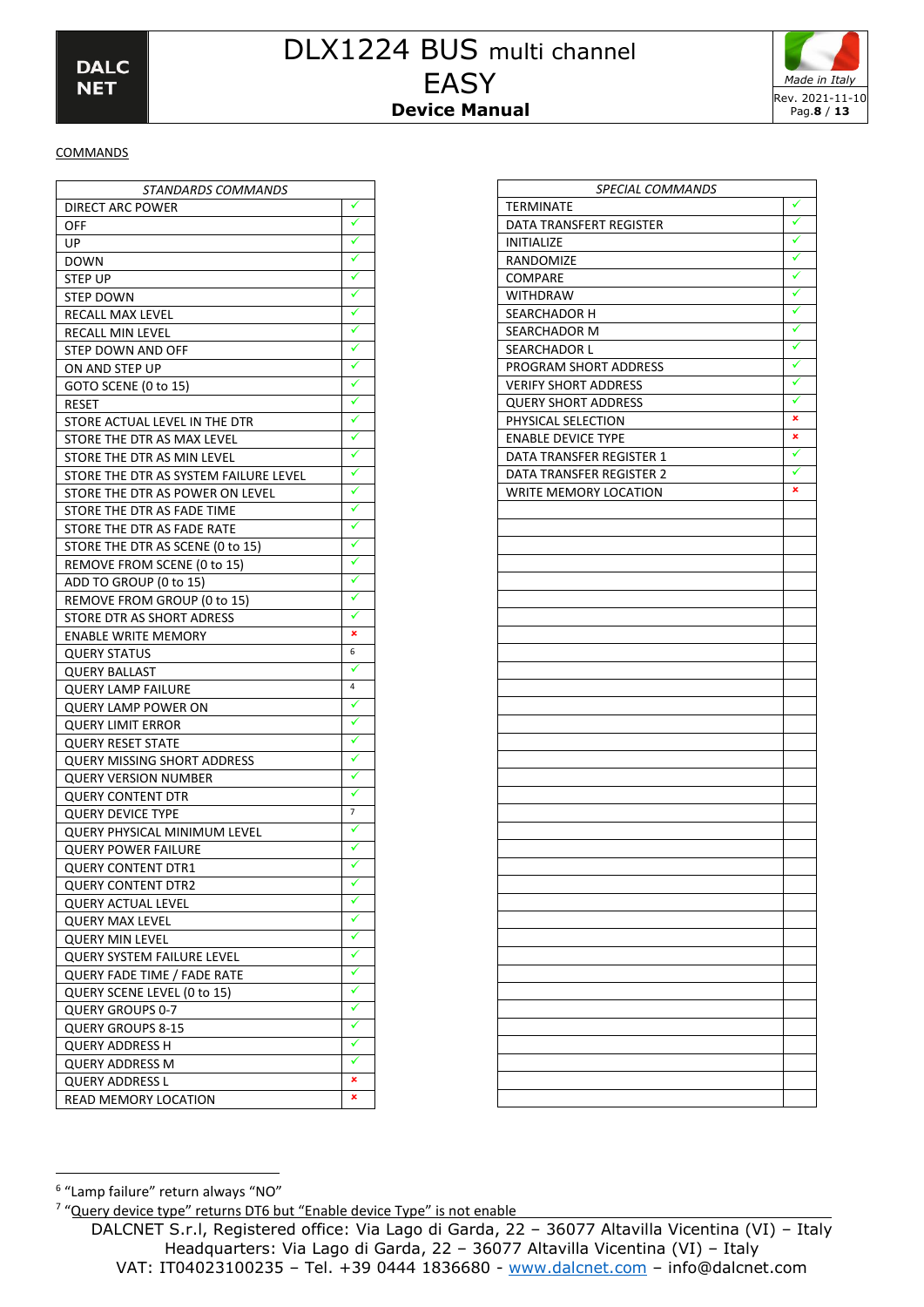

### **COMMANDS**

| <i>STANDARDS COMMANDS</i>             |   |
|---------------------------------------|---|
| DIRECT ARC POWER                      | ✓ |
| OFF                                   | ✓ |
| UP                                    |   |
| <b>DOWN</b>                           | ✓ |
| STEP UP                               |   |
| STEP DOWN                             | ✓ |
| RECALL MAX LEVEL                      |   |
| RECALL MIN LEVEL                      |   |
| STEP DOWN AND OFF                     |   |
| ON AND STEP UP                        | ✓ |
| GOTO SCENE (0 to 15)                  | ✓ |
| RESET                                 | ✓ |
| STORE ACTUAL LEVEL IN THE DTR         |   |
| STORE THE DTR AS MAX LEVEL            |   |
| STORE THE DTR AS MIN LEVEL            |   |
| STORE THE DTR AS SYSTEM FAILURE LEVEL | ✓ |
| STORE THE DTR AS POWER ON LEVEL       |   |
| STORE THE DTR AS FADE TIME            |   |
| STORE THE DTR AS FADE RATE            |   |
| STORE THE DTR AS SCENE (0 to 15)      |   |
| REMOVE FROM SCENE (0 to 15)           |   |
| ADD TO GROUP (0 to 15)                |   |
| REMOVE FROM GROUP (0 to 15)           |   |
| STORE DTR AS SHORT ADRESS             | ✓ |
| <b>ENABLE WRITE MEMORY</b>            | × |
| <b>QUERY STATUS</b>                   | 6 |
| <b>QUERY BALLAST</b>                  | ✓ |
| <b>QUERY LAMP FAILURE</b>             | 4 |
| <b>QUERY LAMP POWER ON</b>            |   |
| <b>QUERY LIMIT ERROR</b>              |   |
| <b>QUERY RESET STATE</b>              |   |
| QUERY MISSING SHORT ADDRESS           |   |
| <b>QUERY VERSION NUMBER</b>           | ✓ |
| <b>QUERY CONTENT DTR</b>              |   |
| <b>QUERY DEVICE TYPE</b>              | 7 |
| QUERY PHYSICAL MINIMUM LEVEL          |   |
| <b>QUERY POWER FAILURE</b>            |   |
| QUERY CONTENT DTR1                    |   |
| QUERY CONTENT DTR2                    | ✓ |
| QUERY ACTUAL LEVEL                    | ✓ |
| <b>QUERY MAX LEVEL</b>                | ✓ |
| <b>QUERY MIN LEVEL</b>                |   |
| QUERY SYSTEM FAILURE LEVEL            | ✓ |
| QUERY FADE TIME / FADE RATE           |   |
| QUERY SCENE LEVEL (0 to 15)           | ✓ |
| QUERY GROUPS 0-7                      | ✓ |
| <b>QUERY GROUPS 8-15</b>              | ✓ |
| <b>QUERY ADDRESS H</b>                | ✓ |
| QUERY ADDRESS M                       | ✓ |
| QUERY ADDRESS L                       | × |
| READ MEMORY LOCATION                  | × |
|                                       |   |

| SPECIAL COMMANDS            |   |
|-----------------------------|---|
| TERMINATE                   | ✓ |
| DATA TRANSFERT REGISTER     |   |
| <b>INITIALIZE</b>           |   |
| RANDOMIZE                   | ✓ |
| COMPARE                     | ✓ |
| <b>WITHDRAW</b>             | ✓ |
| SEARCHADOR H                | ✓ |
| SEARCHADOR M                | ✓ |
| SEARCHADOR L                | √ |
| PROGRAM SHORT ADDRESS       | √ |
| <b>VERIFY SHORT ADDRESS</b> | ✓ |
| <b>QUERY SHORT ADDRESS</b>  | ✓ |
| PHYSICAL SELECTION          | × |
| <b>ENABLE DEVICE TYPE</b>   | × |
| DATA TRANSFER REGISTER 1    | ✓ |
| DATA TRANSFER REGISTER 2    | ✓ |
| WRITE MEMORY LOCATION       | × |
|                             |   |
|                             |   |
|                             |   |
|                             |   |
|                             |   |
|                             |   |
|                             |   |
|                             |   |
|                             |   |
|                             |   |
|                             |   |
|                             |   |
|                             |   |
|                             |   |
|                             |   |
|                             |   |
|                             |   |
|                             |   |
|                             |   |
|                             |   |
|                             |   |
|                             |   |
|                             |   |
|                             |   |
|                             |   |
|                             |   |
|                             |   |
|                             |   |
|                             |   |
|                             |   |
|                             |   |
|                             |   |
|                             |   |
|                             |   |

<sup>6</sup> "Lamp failure" return always "NO"

<sup>&</sup>lt;sup>7</sup> "Query device type" returns DT6 but "Enable device Type" is not enable

DALCNET S.r.l, Registered office: Via Lago di Garda, 22 – 36077 Altavilla Vicentina (VI) – Italy Headquarters: Via Lago di Garda, 22 – 36077 Altavilla Vicentina (VI) – Italy VAT: IT04023100235 – Tel. +39 0444 1836680 - [www.dalcnet.com](http://www.dalcnet.com/) – info@dalcnet.com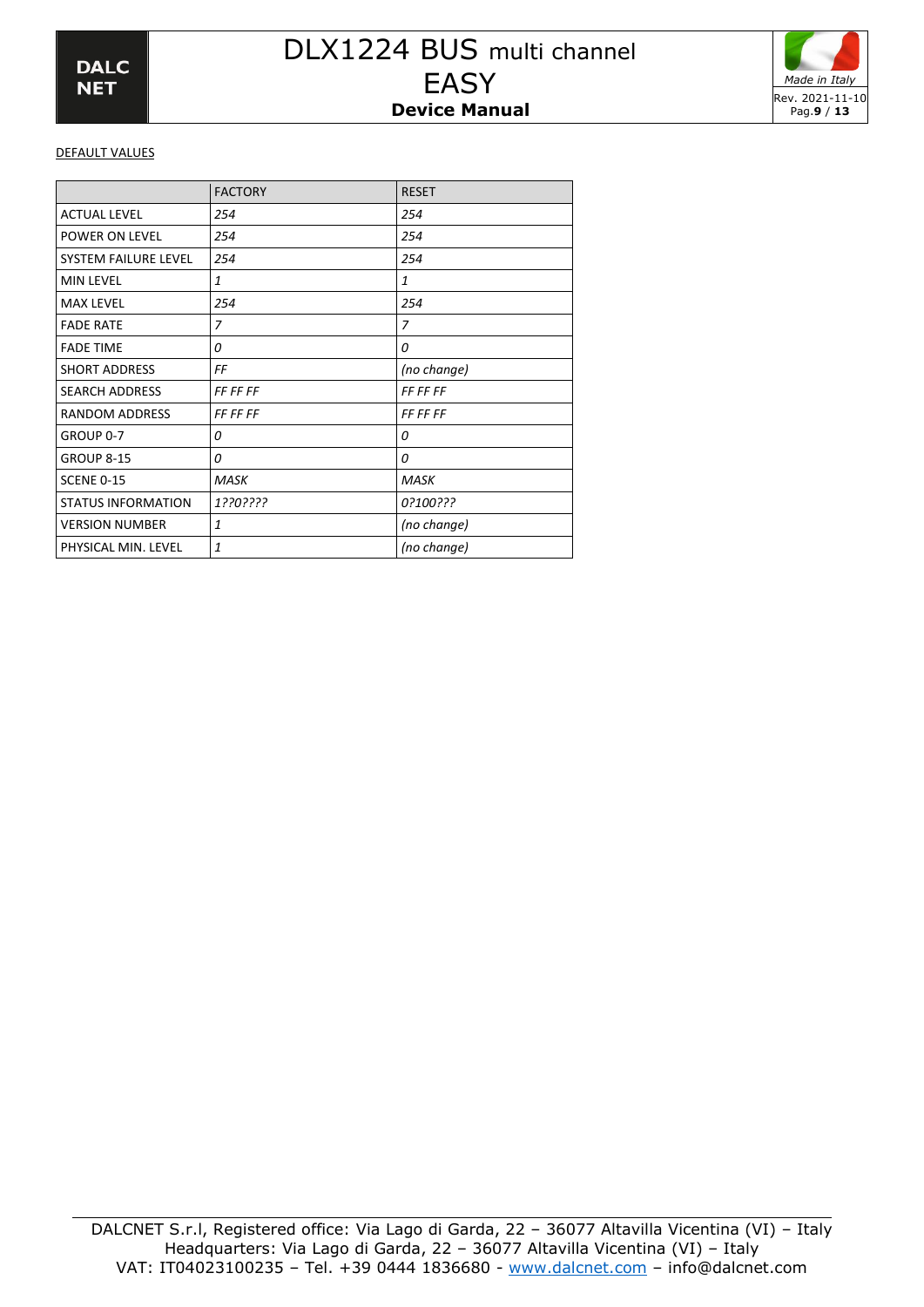

### DEFAULT VALUES

|                           | <b>FACTORY</b>  | <b>RESET</b>    |
|---------------------------|-----------------|-----------------|
| <b>ACTUAL LEVEL</b>       | 254             | 254             |
| POWER ON LEVEL            | 254             | 254             |
| SYSTEM FAILURE LEVEL      | 254             | 254             |
| <b>MIN LEVEL</b>          | 1               | $\mathbf{1}$    |
| <b>MAX LEVEL</b>          | 254             | 254             |
| <b>FADE RATE</b>          | 7               | 7               |
| <b>FADE TIME</b>          | 0               | 0               |
| <b>SHORT ADDRESS</b>      | FF              | (no change)     |
| <b>SEARCH ADDRESS</b>     | <b>FF FF FF</b> | <b>FF FF FF</b> |
| RANDOM ADDRESS            | <i>FF FF FF</i> | <i>FF FF FF</i> |
| GROUP 0-7                 | 0               | 0               |
| <b>GROUP 8-15</b>         | 0               | 0               |
| <b>SCENE 0-15</b>         | <b>MASK</b>     | <b>MASK</b>     |
| <b>STATUS INFORMATION</b> | 1??0????        | 0?100???        |
| <b>VERSION NUMBER</b>     | $\mathbf{1}$    | (no change)     |
| PHYSICAL MIN. LEVEL       | $\mathbf{1}$    | (no change)     |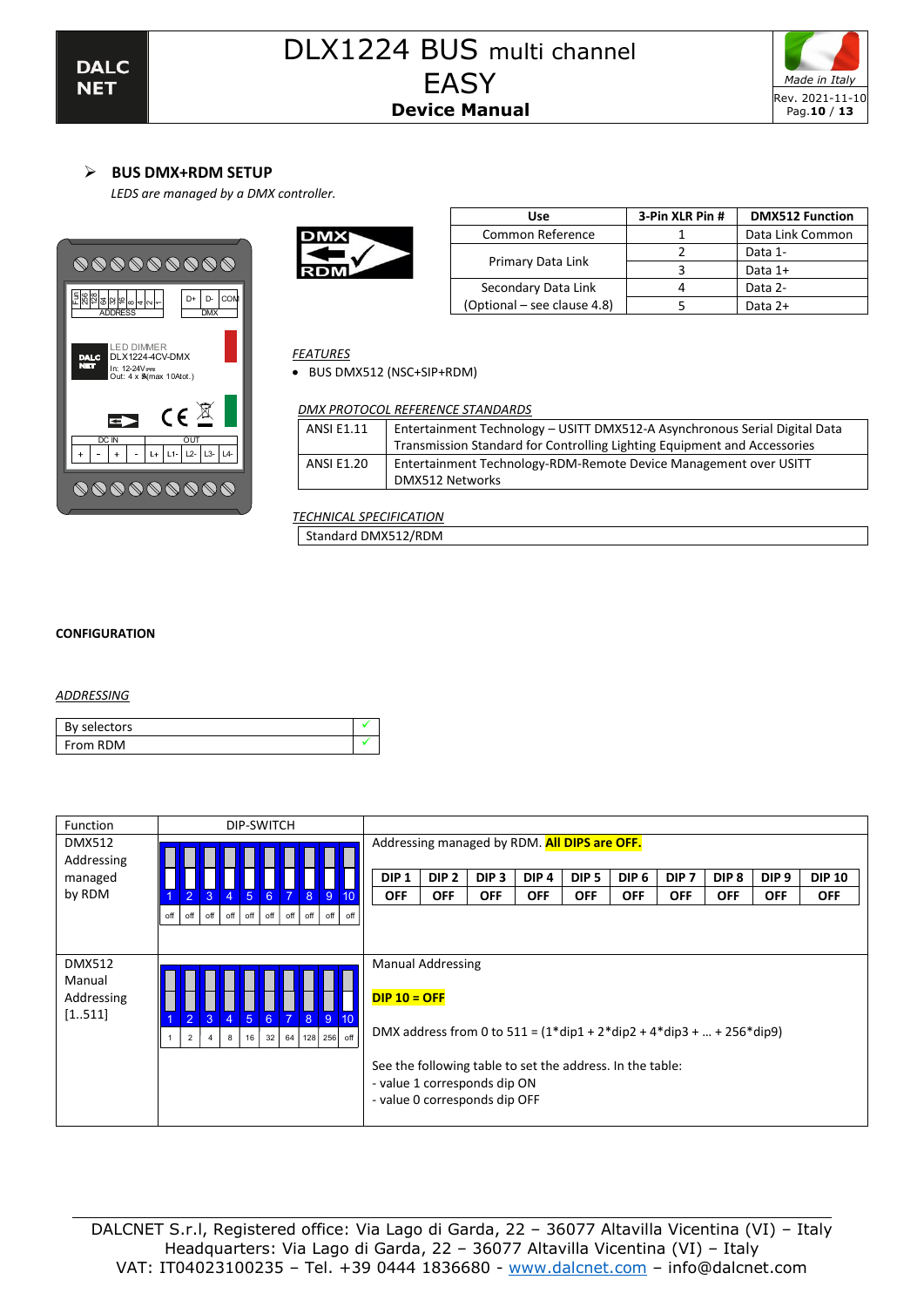

# ➢ **BUS DMX+RDM SETUP**

*LEDS are managed by a DMX controller.*





| Use                         | 3-Pin XLR Pin # | <b>DMX512 Function</b> |
|-----------------------------|-----------------|------------------------|
| Common Reference            |                 | Data Link Common       |
|                             |                 | Data 1-                |
| Primary Data Link           |                 | Data 1+                |
| Secondary Data Link         |                 | Data 2-                |
| (Optional – see clause 4.8) |                 | Data $2+$              |

# *FEATURES*

• BUS DMX512 (NSC+SIP+RDM)

### *DMX PROTOCOL REFERENCE STANDARDS*

| <b>ANSI E1.11</b> | Entertainment Technology - USITT DMX512-A Asynchronous Serial Digital Data |
|-------------------|----------------------------------------------------------------------------|
|                   | Transmission Standard for Controlling Lighting Equipment and Accessories   |
| ANSI E1.20        | Entertainment Technology-RDM-Remote Device Management over USITT           |
|                   | DMX512 Networks                                                            |
|                   |                                                                            |

*TECHNICAL SPECIFICATION* Standard DMX512/RDM

### **CONFIGURATION**

#### *ADDRESSING*

| By selectors    |  |
|-----------------|--|
| <b>From RDM</b> |  |

| Function                    | DIP-SWITCH                                                                                                                      |                                                                                                                            |                  |                  |                  |                  |                  |                  |                  |                  |               |
|-----------------------------|---------------------------------------------------------------------------------------------------------------------------------|----------------------------------------------------------------------------------------------------------------------------|------------------|------------------|------------------|------------------|------------------|------------------|------------------|------------------|---------------|
| <b>DMX512</b><br>Addressing |                                                                                                                                 | Addressing managed by RDM. All DIPS are OFF.                                                                               |                  |                  |                  |                  |                  |                  |                  |                  |               |
| managed                     |                                                                                                                                 | DIP <sub>1</sub>                                                                                                           | DIP <sub>2</sub> | DIP <sub>3</sub> | DIP <sub>4</sub> | DIP <sub>5</sub> | DIP <sub>6</sub> | DIP <sub>7</sub> | DIP <sub>8</sub> | DIP <sub>9</sub> | <b>DIP 10</b> |
| by RDM                      | $\sqrt{3}$<br>$6^{\circ}$<br>$\overline{7}$<br>$\overline{2}$<br>$\blacklozenge$<br>$-5$<br>8<br>$9 \mid 10$                    | <b>OFF</b>                                                                                                                 | <b>OFF</b>       | <b>OFF</b>       | <b>OFF</b>       | <b>OFF</b>       | <b>OFF</b>       | <b>OFF</b>       | <b>OFF</b>       | <b>OFF</b>       | <b>OFF</b>    |
|                             | off<br>off<br>$off$ off<br>off<br>off  <br>off  <br>off<br>off<br>off                                                           |                                                                                                                            |                  |                  |                  |                  |                  |                  |                  |                  |               |
|                             |                                                                                                                                 |                                                                                                                            |                  |                  |                  |                  |                  |                  |                  |                  |               |
|                             |                                                                                                                                 |                                                                                                                            |                  |                  |                  |                  |                  |                  |                  |                  |               |
| <b>DMX512</b>               |                                                                                                                                 | <b>Manual Addressing</b>                                                                                                   |                  |                  |                  |                  |                  |                  |                  |                  |               |
| Manual                      |                                                                                                                                 |                                                                                                                            |                  |                  |                  |                  |                  |                  |                  |                  |               |
| Addressing                  |                                                                                                                                 |                                                                                                                            | $DIP 10 = OFF$   |                  |                  |                  |                  |                  |                  |                  |               |
| [1511]                      | $\overline{7}$<br>8 <sup>°</sup><br>$\overline{2}$<br>3<br>5 <sup>5</sup><br>$\overline{4}$<br>$6^{\circ}$<br>$9 \overline{10}$ |                                                                                                                            |                  |                  |                  |                  |                  |                  |                  |                  |               |
|                             | 128 256 off<br>32<br>64<br>$\overline{2}$<br>16<br>8<br>4                                                                       | DMX address from 0 to $511 = (1 * dip1 + 2 * dip2 + 4 * dip3 +  + 256 * dip9)$                                             |                  |                  |                  |                  |                  |                  |                  |                  |               |
|                             |                                                                                                                                 | See the following table to set the address. In the table:<br>- value 1 corresponds dip ON<br>- value 0 corresponds dip OFF |                  |                  |                  |                  |                  |                  |                  |                  |               |
|                             |                                                                                                                                 |                                                                                                                            |                  |                  |                  |                  |                  |                  |                  |                  |               |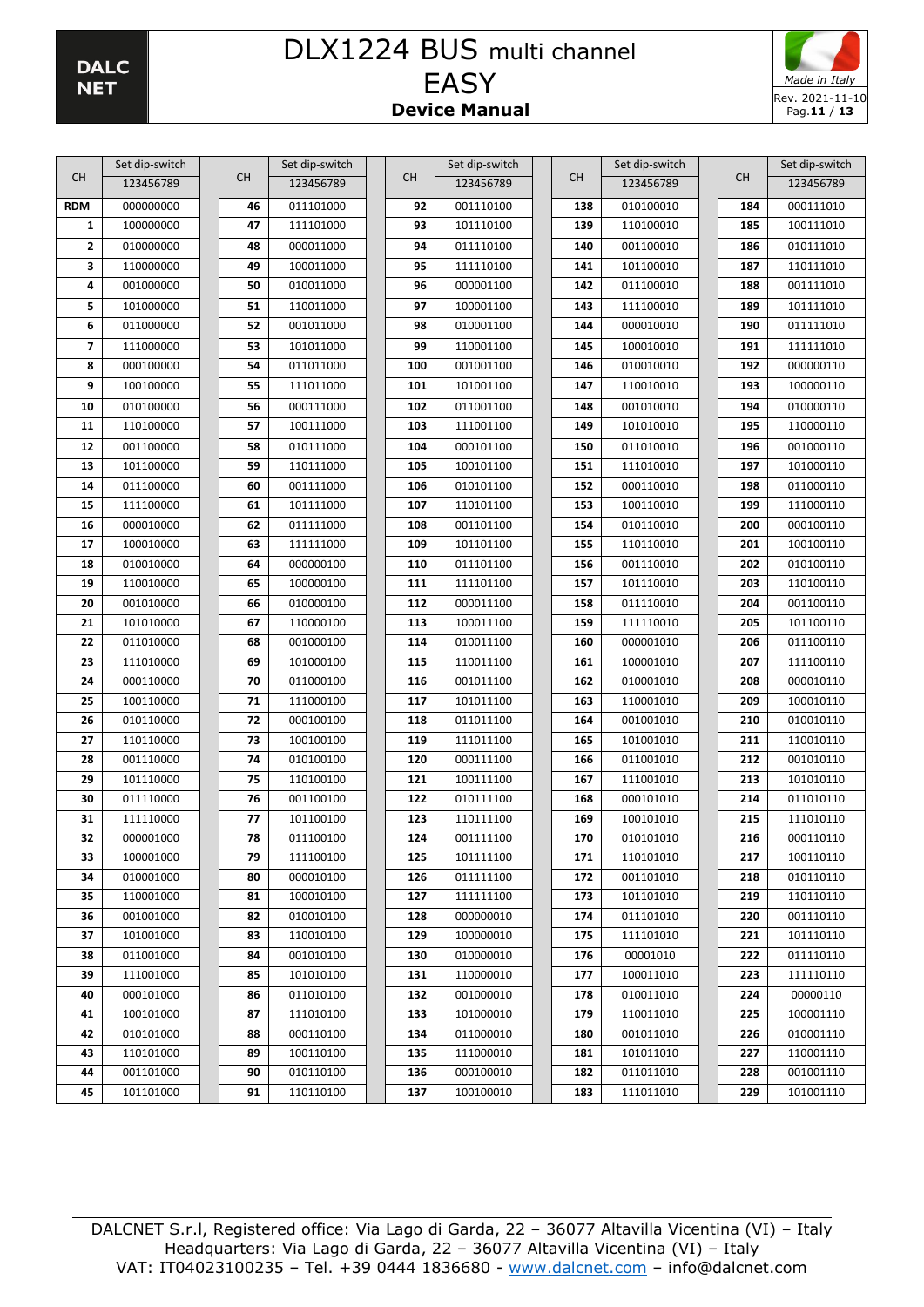

|                         | Set dip-switch         |           | Set dip-switch         |                  | Set dip-switch         |            | Set dip-switch         |            | Set dip-switch         |
|-------------------------|------------------------|-----------|------------------------|------------------|------------------------|------------|------------------------|------------|------------------------|
| СH                      | 123456789              | <b>CH</b> | 123456789              | <b>CH</b>        | 123456789              | <b>CH</b>  | 123456789              | <b>CH</b>  | 123456789              |
| <b>RDM</b>              | 000000000              | 46        | 011101000              | 92               | 001110100              | 138        | 010100010              | 184        | 000111010              |
| $\mathbf{1}$            | 100000000              | 47        | 111101000              | 93               | 101110100              | 139        | 110100010              | 185        | 100111010              |
| 2                       | 010000000              | 48        | 000011000              | 94               | 011110100              | 140        | 001100010              | 186        | 010111010              |
| 3                       | 110000000              | 49        | 100011000              | 95               | 111110100              | 141        | 101100010              | 187        | 110111010              |
| 4                       | 001000000              | 50        | 010011000              | 96               | 000001100              | 142        | 011100010              | 188        | 001111010              |
| 5                       | 101000000              | 51        | 110011000              | 97               | 100001100              | 143        | 111100010              | 189        | 101111010              |
| 6                       | 011000000              | 52        | 001011000              | 98               | 010001100              | 144        | 000010010              | 190        | 011111010              |
| $\overline{\mathbf{z}}$ | 111000000              | 53        | 101011000              | 99               | 110001100              | 145        | 100010010              | 191        | 111111010              |
| 8                       | 000100000              | 54        | 011011000              | 100              | 001001100              | 146        | 010010010              | 192        | 000000110              |
| 9                       | 100100000              | 55        | 111011000              | 101              | 101001100              | 147        | 110010010              | 193        | 100000110              |
| 10                      | 010100000              | 56        | 000111000              | 102              | 011001100              | 148        | 001010010              | 194        | 010000110              |
| 11                      | 110100000              | 57        | 100111000              | 103              | 111001100              | 149        | 101010010              | 195        | 110000110              |
| 12                      | 001100000              | 58        | 010111000              | 104              | 000101100              | 150        | 011010010              | 196        | 001000110              |
| 13                      | 101100000              | 59        | 110111000              | 105              | 100101100              | 151        | 111010010              | 197        | 101000110              |
| 14                      | 011100000              | 60        | 001111000              | 106              | 010101100              | 152        | 000110010              | 198        | 011000110              |
| 15                      | 111100000              | 61        | 101111000              | 107              | 110101100              | 153        | 100110010              | 199        | 111000110              |
| 16                      | 000010000              | 62        | 011111000              | 108              | 001101100              | 154        | 010110010              | 200        | 000100110              |
| 17                      | 100010000              | 63        | 111111000              | 109              | 101101100              | 155        | 110110010              | 201        | 100100110              |
| 18                      | 010010000              | 64        | 000000100              | 110              | 011101100              | 156        | 001110010              | 202        | 010100110              |
| 19                      | 110010000              | 65        | 100000100              | 111              | 111101100              | 157        | 101110010              | 203        | 110100110              |
| 20                      | 001010000              | 66        | 010000100              | 112              | 000011100              | 158        | 011110010              | 204        | 001100110              |
| 21                      | 101010000              | 67        | 110000100              | 113              | 100011100              | 159        | 111110010              | 205        | 101100110              |
| 22                      | 011010000              | 68        | 001000100              | 114              | 010011100              | 160        | 000001010              | 206        | 011100110              |
| 23                      | 111010000              | 69        | 101000100              | 115              | 110011100              | 161        | 100001010              | 207        | 111100110              |
| 24                      | 000110000              | 70        | 011000100              | 116              | 001011100              | 162        | 010001010              | 208        | 000010110              |
| 25                      | 100110000              | 71        | 111000100              | 117              | 101011100              | 163        | 110001010              | 209        | 100010110              |
| 26                      | 010110000              | 72        | 000100100              | 118              | 011011100              | 164        | 001001010              | 210        | 010010110              |
| 27                      | 110110000              | 73        | 100100100              | 119              | 111011100              | 165        | 101001010              | 211        | 110010110              |
| 28<br>29                | 001110000<br>101110000 | 74<br>75  | 010100100              | 120<br>121       | 000111100<br>100111100 | 166<br>167 | 011001010<br>111001010 | 212<br>213 | 001010110<br>101010110 |
| 30                      | 011110000              |           | 110100100              | 122              | 010111100              | 168        | 000101010              | 214        | 011010110              |
| 31                      | 111110000              | 76<br>77  | 001100100<br>101100100 | 123              | 110111100              | 169        | 100101010              | 215        | 111010110              |
| 32                      | 000001000              | 78        | 011100100              | 124              | 001111100              | 170        | 010101010              | 216        | 000110110              |
| 33                      | 100001000              | 79        | 111100100              | $\overline{125}$ | 101111100              | 171        | 110101010              | 217        | 100110110              |
| 34                      | 010001000              | 80        | 000010100              | 126              | 011111100              | 172        | 001101010              | 218        | 010110110              |
| 35                      | 110001000              | 81        | 100010100              | 127              | 111111100              | 173        | 101101010              | 219        | 110110110              |
| 36                      | 001001000              | 82        | 010010100              | 128              | 000000010              | 174        | 011101010              | 220        | 001110110              |
| 37                      | 101001000              | 83        | 110010100              | 129              | 100000010              | 175        | 111101010              | 221        | 101110110              |
| 38                      | 011001000              | 84        | 001010100              | 130              | 010000010              | 176        | 00001010               | 222        | 011110110              |
| 39                      | 111001000              | 85        | 101010100              | 131              | 110000010              | 177        | 100011010              | 223        | 111110110              |
| 40                      | 000101000              | 86        | 011010100              | 132              | 001000010              | 178        | 010011010              | 224        | 00000110               |
| 41                      | 100101000              | 87        | 111010100              | 133              | 101000010              | 179        | 110011010              | 225        | 100001110              |
| 42                      | 010101000              | 88        | 000110100              | 134              | 011000010              | 180        | 001011010              | 226        | 010001110              |
| 43                      | 110101000              | 89        | 100110100              | 135              | 111000010              | 181        | 101011010              | 227        | 110001110              |
| 44                      | 001101000              | 90        | 010110100              | 136              | 000100010              | 182        | 011011010              | 228        | 001001110              |
| 45                      | 101101000              | 91        | 110110100              | 137              | 100100010              | 183        | 111011010              | 229        | 101001110              |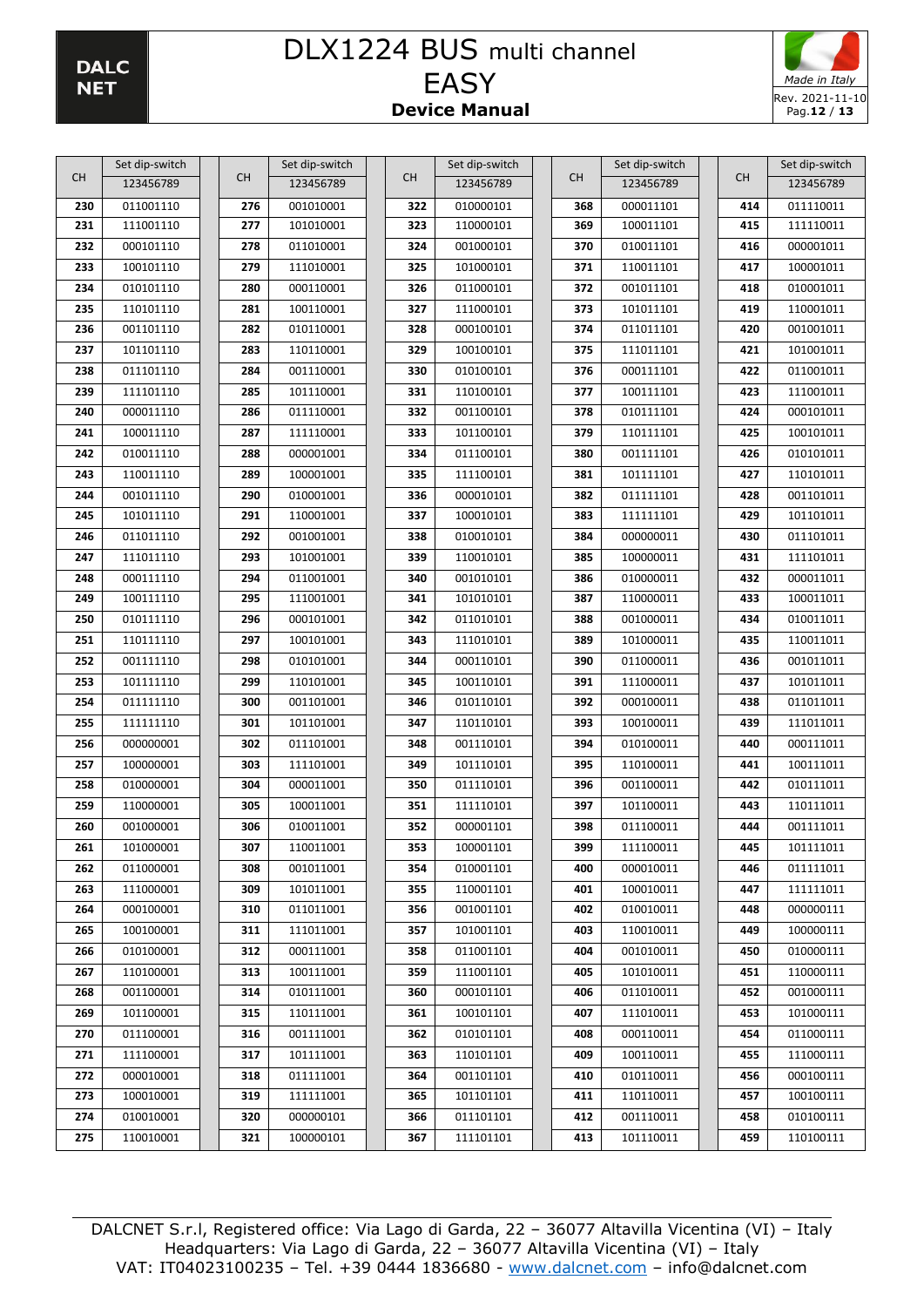

| СH  | Set dip-switch         | <b>CH</b>  | Set dip-switch         | <b>CH</b> | Set dip-switch         | <b>CH</b>  | Set dip-switch         | CH         | Set dip-switch         |
|-----|------------------------|------------|------------------------|-----------|------------------------|------------|------------------------|------------|------------------------|
|     | 123456789              |            | 123456789              |           | 123456789              |            | 123456789              |            | 123456789              |
| 230 | 011001110              | 276        | 001010001              | 322       | 010000101              | 368        | 000011101              | 414        | 011110011              |
| 231 | 111001110              | 277        | 101010001              | 323       | 110000101              | 369        | 100011101              | 415        | 111110011              |
| 232 | 000101110              | 278        | 011010001              | 324       | 001000101              | 370        | 010011101              | 416        | 000001011              |
| 233 | 100101110              | 279        | 111010001              | 325       | 101000101              | 371        | 110011101              | 417        | 100001011              |
| 234 | 010101110              | 280        | 000110001              | 326       | 011000101              | 372        | 001011101              | 418        | 010001011              |
| 235 | 110101110              | 281        | 100110001              | 327       | 111000101              | 373        | 101011101              | 419        | 110001011              |
| 236 | 001101110              | 282        | 010110001              | 328       | 000100101              | 374        | 011011101              | 420        | 001001011              |
| 237 | 101101110              | 283        | 110110001              | 329       | 100100101              | 375        | 111011101              | 421        | 101001011              |
| 238 | 011101110              | 284        | 001110001              | 330       | 010100101              | 376        | 000111101              | 422        | 011001011              |
| 239 | 111101110              | 285        | 101110001              | 331       | 110100101              | 377        | 100111101              | 423        | 111001011              |
| 240 | 000011110              | 286        | 011110001              | 332       | 001100101              | 378        | 010111101              | 424        | 000101011              |
| 241 | 100011110              | 287        | 111110001              | 333       | 101100101              | 379        | 110111101              | 425        | 100101011              |
| 242 | 010011110              | 288        | 000001001              | 334       | 011100101              | 380        | 001111101              | 426        | 010101011              |
| 243 | 110011110              | 289        | 100001001              | 335       | 111100101              | 381        | 101111101              | 427        | 110101011              |
| 244 | 001011110              | 290        | 010001001              | 336       | 000010101              | 382        | 011111101              | 428        | 001101011              |
| 245 | 101011110              | 291        | 110001001              | 337       | 100010101              | 383        | 111111101              | 429        | 101101011              |
| 246 | 011011110              | 292        | 001001001              | 338       | 010010101              | 384        | 000000011              | 430        | 011101011              |
| 247 | 111011110              | 293        | 101001001              | 339       | 110010101              | 385        | 100000011              | 431        | 111101011              |
| 248 | 000111110              | 294        | 011001001              | 340       | 001010101              | 386        | 010000011              | 432        | 000011011              |
| 249 | 100111110              | 295        | 111001001              | 341       | 101010101              | 387        | 110000011              | 433        | 100011011              |
| 250 | 010111110              | 296        | 000101001              | 342       | 011010101              | 388        | 001000011              | 434        | 010011011              |
| 251 | 110111110              | 297        | 100101001              | 343       | 111010101              | 389        | 101000011              | 435        | 110011011              |
| 252 | 001111110              | 298        | 010101001              | 344       | 000110101              | 390        | 011000011              | 436        | 001011011              |
| 253 |                        | 299        |                        | 345       |                        |            |                        | 437        |                        |
| 254 | 101111110              |            | 110101001              | 346       | 100110101              | 391<br>392 | 111000011              |            | 101011011              |
| 255 | 011111110<br>111111110 | 300<br>301 | 001101001              | 347       | 010110101              | 393        | 000100011              | 438        | 011011011              |
| 256 | 000000001              | 302        | 101101001<br>011101001 | 348       | 110110101<br>001110101 | 394        | 100100011<br>010100011 | 439<br>440 | 111011011<br>000111011 |
|     |                        |            |                        |           |                        |            |                        |            |                        |
| 257 | 100000001              | 303        | 111101001              | 349       | 101110101              | 395        | 110100011              | 441        | 100111011              |
| 258 | 010000001              | 304        | 000011001              | 350       | 011110101              | 396        | 001100011              | 442        | 010111011              |
| 259 | 110000001              | 305        | 100011001              | 351       | 111110101              | 397        | 101100011              | 443        | 110111011              |
| 260 | 001000001              | 306        | 010011001              | 352       | 000001101              | 398        | 011100011              | 444        | 001111011              |
| 261 | 101000001              | 307        | 110011001              | 353       | 100001101              | 399        | 111100011              | 445        | 101111011              |
| 262 | 011000001              | 308        | 001011001              | 354       | 010001101              | 400        | 000010011              | 446        | 011111011              |
| 263 | 111000001              | 309        | 101011001              | 355       | 110001101              | 401        | 100010011              | 447        | 111111011              |
| 264 | 000100001              | 310        | 011011001              | 356       | 001001101              | 402        | 010010011              | 448        | 000000111              |
| 265 | 100100001              | 311        | 111011001              |           | 357<br>101001101       | 403        | 110010011              | 449        | 100000111              |
| 266 | 010100001              | 312        | 000111001              | 358       | 011001101              | 404        | 001010011              | 450        | 010000111              |
| 267 | 110100001              | 313        | 100111001              | 359       | 111001101              | 405        | 101010011              | 451        | 110000111              |
| 268 | 001100001              | 314        | 010111001              | 360       | 000101101              | 406        | 011010011              | 452        | 001000111              |
| 269 | 101100001              | 315        | 110111001              | 361       | 100101101              | 407        | 111010011              | 453        | 101000111              |
| 270 | 011100001              | 316        | 001111001              | 362       | 010101101              | 408        | 000110011              | 454        | 011000111              |
| 271 | 111100001              | 317        | 101111001              | 363       | 110101101              | 409        | 100110011              | 455        | 111000111              |
| 272 | 000010001              | 318        | 011111001              | 364       | 001101101              | 410        | 010110011              | 456        | 000100111              |
| 273 | 100010001              | 319        | 111111001              | 365       | 101101101              | 411        | 110110011              | 457        | 100100111              |
| 274 | 010010001              | 320        | 000000101              | 366       | 011101101              | 412        | 001110011              | 458        | 010100111              |
| 275 | 110010001              | 321        | 100000101              | 367       | 111101101              | 413        | 101110011              | 459        | 110100111              |